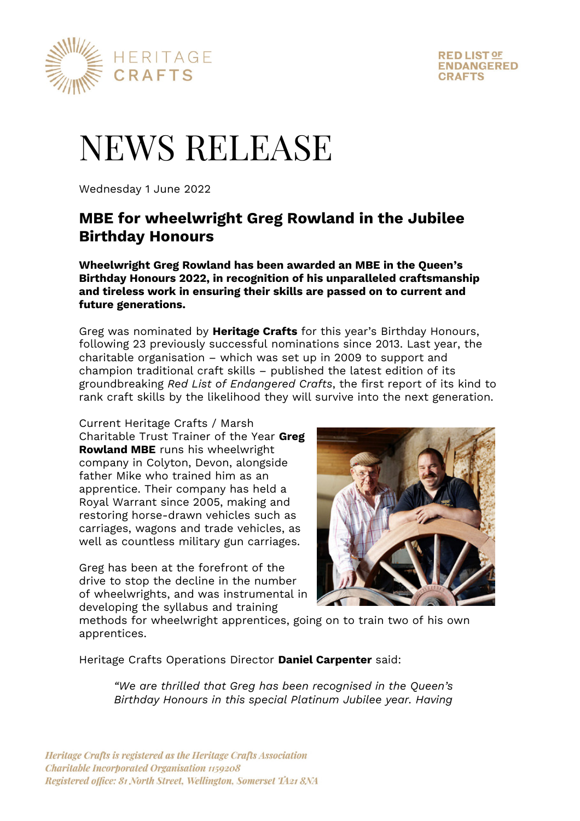



# NEWS RELEASE

Wednesday 1 June 2022

# **MBE for wheelwright Greg Rowland in the Jubilee Birthday Honours**

**Wheelwright Greg Rowland has been awarded an MBE in the Queen's Birthday Honours 2022, in recognition of his unparalleled craftsmanship and tireless work in ensuring their skills are passed on to current and future generations.** 

Greg was nominated by **Heritage Crafts** for this year's Birthday Honours, following 23 previously successful nominations since 2013. Last year, the charitable organisation – which was set up in 2009 to support and champion traditional craft skills – published the latest edition of its groundbreaking *Red List of Endangered Crafts*, the first report of its kind to rank craft skills by the likelihood they will survive into the next generation.

Current Heritage Crafts / Marsh Charitable Trust Trainer of the Year **Greg Rowland MBE** runs his wheelwright company in Colyton, Devon, alongside father Mike who trained him as an apprentice. Their company has held a Royal Warrant since 2005, making and restoring horse-drawn vehicles such as carriages, wagons and trade vehicles, as well as countless military gun carriages.

Greg has been at the forefront of the drive to stop the decline in the number of wheelwrights, and was instrumental in developing the syllabus and training



methods for wheelwright apprentices, going on to train two of his own apprentices.

Heritage Crafts Operations Director **Daniel Carpenter** said:

*"We are thrilled that Greg has been recognised in the Queen's Birthday Honours in this special Platinum Jubilee year. Having*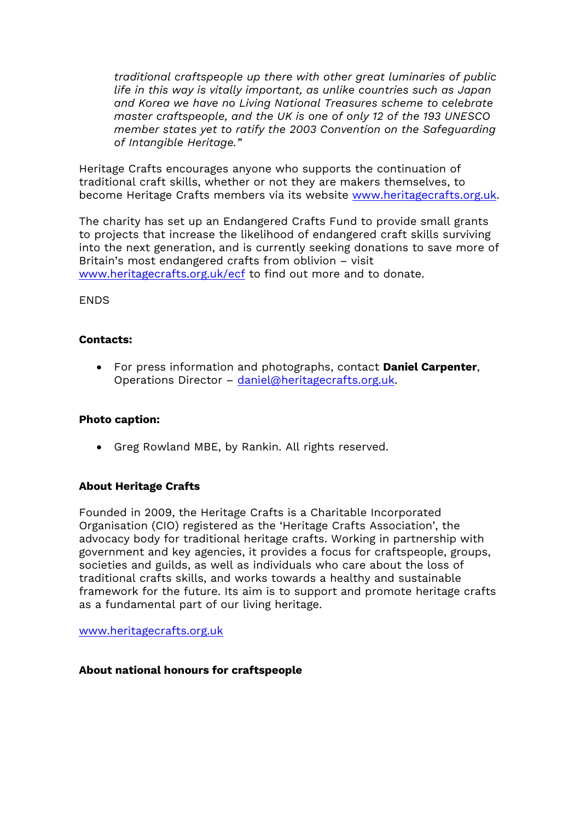*traditional craftspeople up there with other great luminaries of public life in this way is vitally important, as unlike countries such as Japan and Korea we have no Living National Treasures scheme to celebrate master craftspeople, and the UK is one of only 12 of the 193 UNESCO member states yet to ratify the 2003 Convention on the Safeguarding of Intangible Heritage."* 

Heritage Crafts encourages anyone who supports the continuation of traditional craft skills, whether or not they are makers themselves, to become Heritage Crafts members via its website www.heritagecrafts.org.uk.

The charity has set up an Endangered Crafts Fund to provide small grants to projects that increase the likelihood of endangered craft skills surviving into the next generation, and is currently seeking donations to save more of Britain's most endangered crafts from oblivion – visit www.heritagecrafts.org.uk/ecf to find out more and to donate.

ENDS

# **Contacts:**

 For press information and photographs, contact **Daniel Carpenter**, Operations Director – daniel@heritagecrafts.org.uk.

#### **Photo caption:**

Greg Rowland MBE, by Rankin. All rights reserved.

# **About Heritage Crafts**

Founded in 2009, the Heritage Crafts is a Charitable Incorporated Organisation (CIO) registered as the 'Heritage Crafts Association', the advocacy body for traditional heritage crafts. Working in partnership with government and key agencies, it provides a focus for craftspeople, groups, societies and guilds, as well as individuals who care about the loss of traditional crafts skills, and works towards a healthy and sustainable framework for the future. Its aim is to support and promote heritage crafts as a fundamental part of our living heritage.

www.heritagecrafts.org.uk

#### **About national honours for craftspeople**